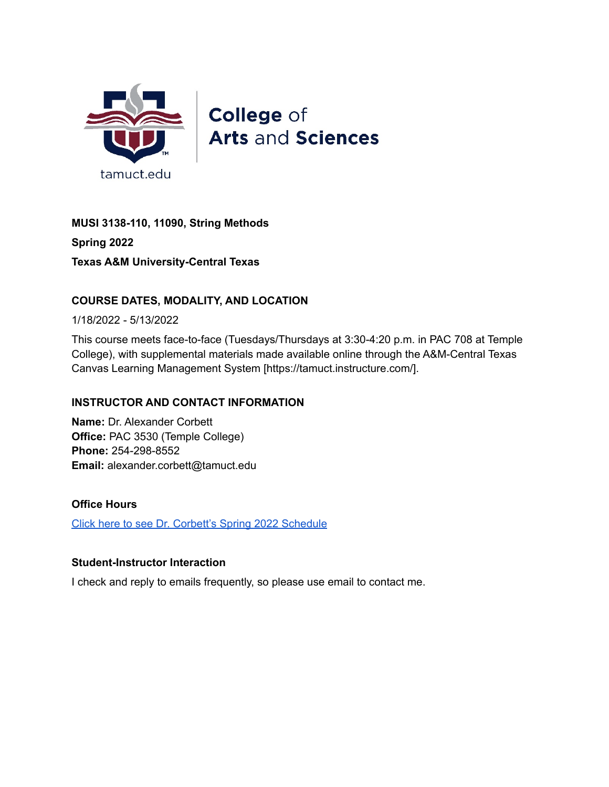

**College of Arts and Sciences** 

**MUSI 3138-110, 11090, String Methods Spring 2022 Texas A&M University-Central Texas**

# **COURSE DATES, MODALITY, AND LOCATION**

1/18/2022 - 5/13/2022

This course meets face-to-face (Tuesdays/Thursdays at 3:30-4:20 p.m. in PAC 708 at Temple College), with supplemental materials made available online through the A&M-Central Texas Canvas Learning Management System [https://tamuct.instructure.com/].

## **INSTRUCTOR AND CONTACT INFORMATION**

**Name:** Dr. Alexander Corbett **Office:** PAC 3530 (Temple College) **Phone:** 254-298-8552 **Email:** alexander.corbett@tamuct.edu

#### **Office Hours**

Click here to see Dr. Corbett's Spring 2022 [Schedule](https://docs.google.com/spreadsheets/d/1EeZRE2-RD5NkfQvwUc9h3XGj6kb9dhdiUyz8SiKcGpM/edit?usp=sharing)

#### **Student-Instructor Interaction**

I check and reply to emails frequently, so please use email to contact me.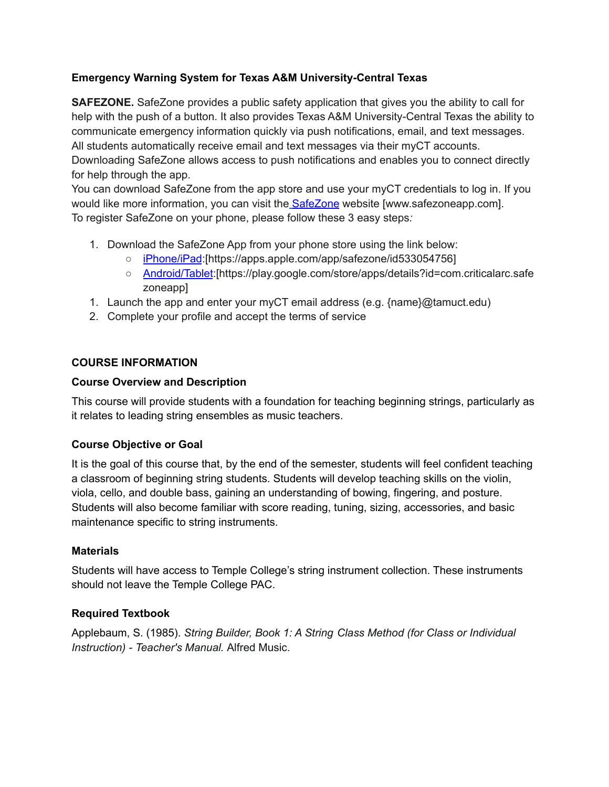# **Emergency Warning System for Texas A&M University-Central Texas**

**SAFEZONE.** SafeZone provides a public safety application that gives you the ability to call for help with the push of a button. It also provides Texas A&M University-Central Texas the ability to communicate emergency information quickly via push notifications, email, and text messages. All students automatically receive email and text messages via their myCT accounts. Downloading SafeZone allows access to push notifications and enables you to connect directly for help through the app.

You can download SafeZone from the app store and use your myCT credentials to log in. If you would like more information, you can visit the [SafeZone](http://www.safezoneapp.com/) website [www.safezoneapp.com]. To register SafeZone on your phone, please follow these 3 easy steps*:*

- 1. Download the SafeZone App from your phone store using the link below:
	- [iPhone/iPad](https://apps.apple.com/app/safezone/id533054756):[https://apps.apple.com/app/safezone/id533054756]
	- [Android/Tablet](https://play.google.com/store/apps/details?id=com.criticalarc.safezoneapp):[https://play.google.com/store/apps/details?id=com.criticalarc.safe zoneapp]
- 1. Launch the app and enter your myCT email address (e.g. {name}@tamuct.edu)
- 2. Complete your profile and accept the terms of service

# **COURSE INFORMATION**

# **Course Overview and Description**

This course will provide students with a foundation for teaching beginning strings, particularly as it relates to leading string ensembles as music teachers.

# **Course Objective or Goal**

It is the goal of this course that, by the end of the semester, students will feel confident teaching a classroom of beginning string students. Students will develop teaching skills on the violin, viola, cello, and double bass, gaining an understanding of bowing, fingering, and posture. Students will also become familiar with score reading, tuning, sizing, accessories, and basic maintenance specific to string instruments.

## **Materials**

Students will have access to Temple College's string instrument collection. These instruments should not leave the Temple College PAC.

# **Required Textbook**

Applebaum, S. (1985). *String Builder, Book 1: A String Class Method (for Class or Individual Instruction) - Teacher's Manual.* Alfred Music.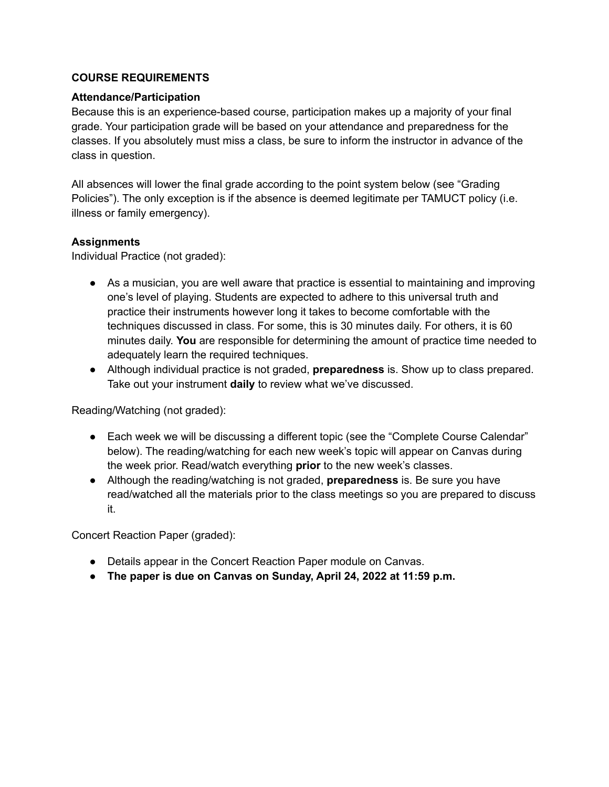#### **COURSE REQUIREMENTS**

#### **Attendance/Participation**

Because this is an experience-based course, participation makes up a majority of your final grade. Your participation grade will be based on your attendance and preparedness for the classes. If you absolutely must miss a class, be sure to inform the instructor in advance of the class in question.

All absences will lower the final grade according to the point system below (see "Grading Policies"). The only exception is if the absence is deemed legitimate per TAMUCT policy (i.e. illness or family emergency).

## **Assignments**

Individual Practice (not graded):

- As a musician, you are well aware that practice is essential to maintaining and improving one's level of playing. Students are expected to adhere to this universal truth and practice their instruments however long it takes to become comfortable with the techniques discussed in class. For some, this is 30 minutes daily. For others, it is 60 minutes daily. **You** are responsible for determining the amount of practice time needed to adequately learn the required techniques.
- Although individual practice is not graded, **preparedness** is. Show up to class prepared. Take out your instrument **daily** to review what we've discussed.

Reading/Watching (not graded):

- Each week we will be discussing a different topic (see the "Complete Course Calendar" below). The reading/watching for each new week's topic will appear on Canvas during the week prior. Read/watch everything **prior** to the new week's classes.
- Although the reading/watching is not graded, **preparedness** is. Be sure you have read/watched all the materials prior to the class meetings so you are prepared to discuss it.

Concert Reaction Paper (graded):

- Details appear in the Concert Reaction Paper module on Canvas.
- **The paper is due on Canvas on Sunday, April 24, 2022 at 11:59 p.m.**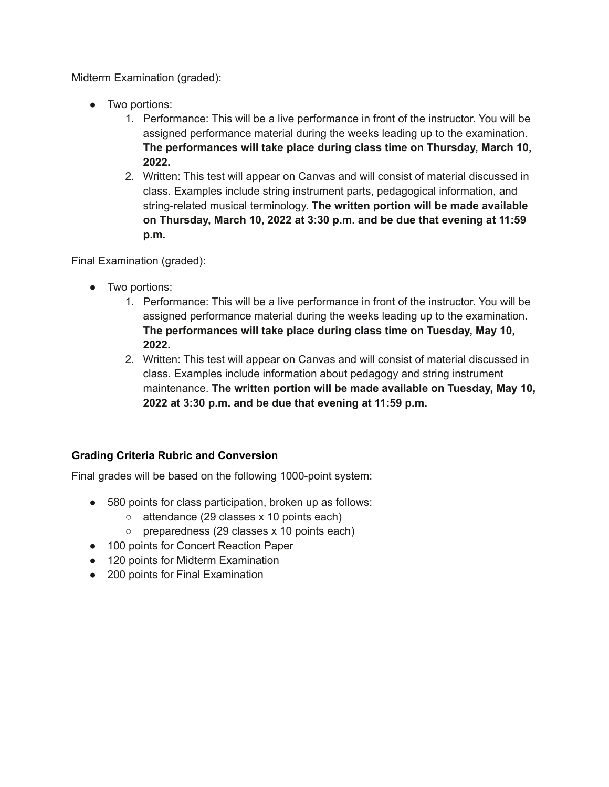Midterm Examination (graded):

- Two portions:
	- 1. Performance: This will be a live performance in front of the instructor. You will be assigned performance material during the weeks leading up to the examination. **The performances will take place during class time on Thursday, March 10, 2022.**
	- 2. Written: This test will appear on Canvas and will consist of material discussed in class. Examples include string instrument parts, pedagogical information, and string-related musical terminology. **The written portion will be made available on Thursday, March 10, 2022 at 3:30 p.m. and be due that evening at 11:59 p.m.**

Final Examination (graded):

- Two portions:
	- 1. Performance: This will be a live performance in front of the instructor. You will be assigned performance material during the weeks leading up to the examination. **The performances will take place during class time on Tuesday, May 10, 2022.**
	- 2. Written: This test will appear on Canvas and will consist of material discussed in class. Examples include information about pedagogy and string instrument maintenance. **The written portion will be made available on Tuesday, May 10, 2022 at 3:30 p.m. and be due that evening at 11:59 p.m.**

## **Grading Criteria Rubric and Conversion**

Final grades will be based on the following 1000-point system:

- 580 points for class participation, broken up as follows:
	- $\circ$  attendance (29 classes x 10 points each)
	- preparedness (29 classes x 10 points each)
- 100 points for Concert Reaction Paper
- 120 points for Midterm Examination
- 200 points for Final Examination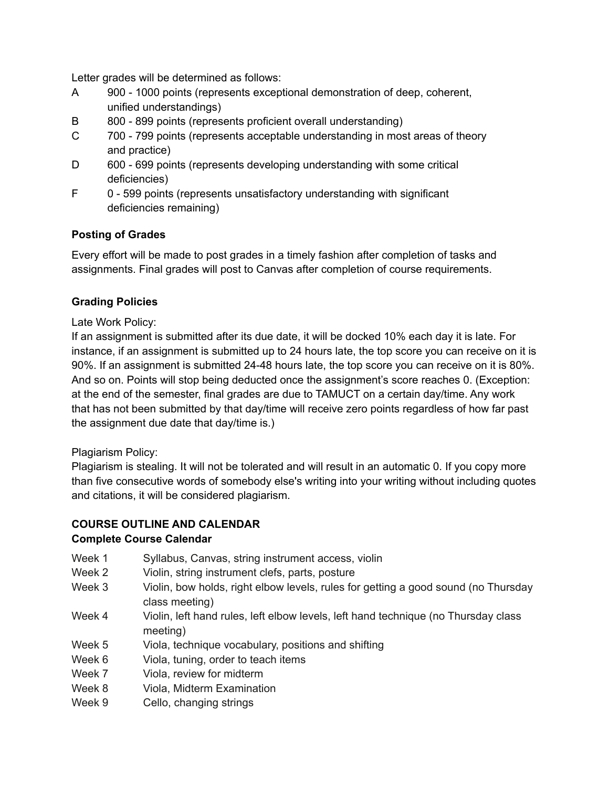Letter grades will be determined as follows:

- A 900 1000 points (represents exceptional demonstration of deep, coherent, unified understandings)
- B 800 899 points (represents proficient overall understanding)
- C 700 799 points (represents acceptable understanding in most areas of theory and practice)
- D 600 699 points (represents developing understanding with some critical deficiencies)
- F 0 599 points (represents unsatisfactory understanding with significant deficiencies remaining)

## **Posting of Grades**

Every effort will be made to post grades in a timely fashion after completion of tasks and assignments. Final grades will post to Canvas after completion of course requirements.

## **Grading Policies**

#### Late Work Policy:

If an assignment is submitted after its due date, it will be docked 10% each day it is late. For instance, if an assignment is submitted up to 24 hours late, the top score you can receive on it is 90%. If an assignment is submitted 24-48 hours late, the top score you can receive on it is 80%. And so on. Points will stop being deducted once the assignment's score reaches 0. (Exception: at the end of the semester, final grades are due to TAMUCT on a certain day/time. Any work that has not been submitted by that day/time will receive zero points regardless of how far past the assignment due date that day/time is.)

#### Plagiarism Policy:

Plagiarism is stealing. It will not be tolerated and will result in an automatic 0. If you copy more than five consecutive words of somebody else's writing into your writing without including quotes and citations, it will be considered plagiarism.

## **COURSE OUTLINE AND CALENDAR Complete Course Calendar**

- Week 1 Syllabus, Canvas, string instrument access, violin
- Week 2 Violin, string instrument clefs, parts, posture
- Week 3 Violin, bow holds, right elbow levels, rules for getting a good sound (no Thursday class meeting)
- Week 4 Violin, left hand rules, left elbow levels, left hand technique (no Thursday class meeting)
- Week 5 Viola, technique vocabulary, positions and shifting
- Week 6 Viola, tuning, order to teach items
- Week 7 Viola, review for midterm
- Week 8 Viola, Midterm Examination
- Week 9 Cello, changing strings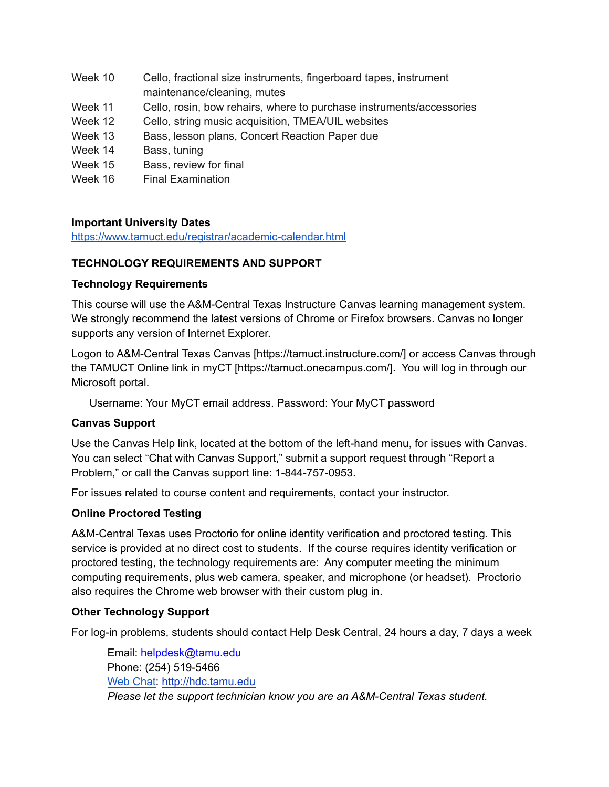- Week 10 Cello, fractional size instruments, fingerboard tapes, instrument maintenance/cleaning, mutes
- Week 11 Cello, rosin, bow rehairs, where to purchase instruments/accessories
- Week 12 Cello, string music acquisition, TMEA/UIL websites
- Week 13 Bass, lesson plans, Concert Reaction Paper due
- Week 14 Bass, tuning
- Week 15 Bass, review for final
- Week 16 Final Examination

## **Important University Dates**

<https://www.tamuct.edu/registrar/academic-calendar.html>

## **TECHNOLOGY REQUIREMENTS AND SUPPORT**

#### **Technology Requirements**

This course will use the A&M-Central Texas Instructure Canvas learning management system. We strongly recommend the latest versions of Chrome or Firefox browsers. Canvas no longer supports any version of Internet Explorer.

Logon to A&M-Central Texas Canvas [https://tamuct.instructure.com/] or access Canvas through the TAMUCT Online link in myCT [https://tamuct.onecampus.com/]. You will log in through our Microsoft portal.

Username: Your MyCT email address. Password: Your MyCT password

## **Canvas Support**

Use the Canvas Help link, located at the bottom of the left-hand menu, for issues with Canvas. You can select "Chat with Canvas Support," submit a support request through "Report a Problem," or call the Canvas support line: 1-844-757-0953.

For issues related to course content and requirements, contact your instructor.

## **Online Proctored Testing**

A&M-Central Texas uses Proctorio for online identity verification and proctored testing. This service is provided at no direct cost to students. If the course requires identity verification or proctored testing, the technology requirements are: Any computer meeting the minimum computing requirements, plus web camera, speaker, and microphone (or headset). Proctorio also requires the Chrome web browser with their custom plug in.

## **Other Technology Support**

For log-in problems, students should contact Help Desk Central, 24 hours a day, 7 days a week

Email: helpdesk@tamu.edu Phone: (254) 519-5466 Web [Chat:](http://hdc.tamu.edu/) <http://hdc.tamu.edu> *Please let the support technician know you are an A&M-Central Texas student.*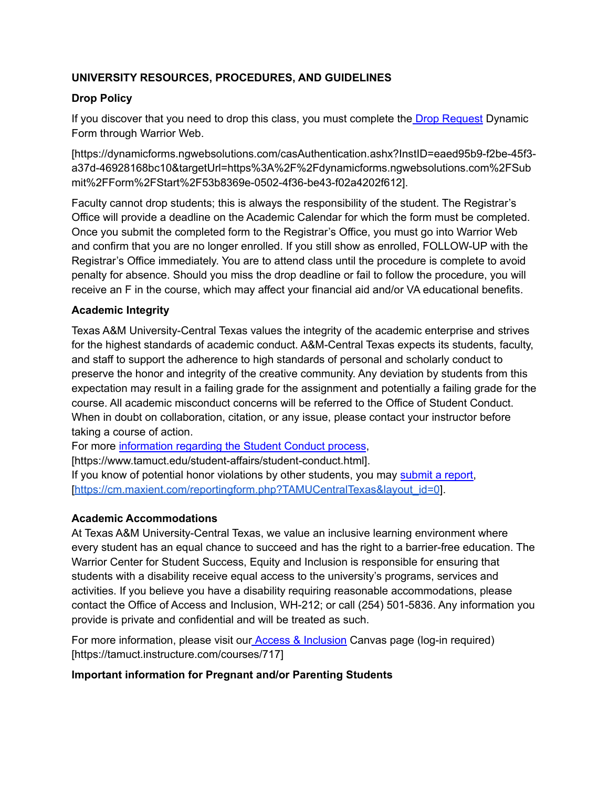# **UNIVERSITY RESOURCES, PROCEDURES, AND GUIDELINES**

## **Drop Policy**

If you discover that you need to drop this class, you must complete the Drop [Request](https://dynamicforms.ngwebsolutions.com/casAuthentication.ashx?InstID=eaed95b9-f2be-45f3-a37d-46928168bc10&targetUrl=https%3A%2F%2Fdynamicforms.ngwebsolutions.com%2FSubmit%2FForm%2FStart%2F53b8369e-0502-4f36-be43-f02a4202f612) Dynamic Form through Warrior Web.

[https://dynamicforms.ngwebsolutions.com/casAuthentication.ashx?InstID=eaed95b9-f2be-45f3 a37d-46928168bc10&targetUrl=https%3A%2F%2Fdynamicforms.ngwebsolutions.com%2FSub mit%2FForm%2FStart%2F53b8369e-0502-4f36-be43-f02a4202f612].

Faculty cannot drop students; this is always the responsibility of the student. The Registrar's Office will provide a deadline on the Academic Calendar for which the form must be completed. Once you submit the completed form to the Registrar's Office, you must go into Warrior Web and confirm that you are no longer enrolled. If you still show as enrolled, FOLLOW-UP with the Registrar's Office immediately. You are to attend class until the procedure is complete to avoid penalty for absence. Should you miss the drop deadline or fail to follow the procedure, you will receive an F in the course, which may affect your financial aid and/or VA educational benefits.

## **Academic Integrity**

Texas A&M University-Central Texas values the integrity of the academic enterprise and strives for the highest standards of academic conduct. A&M-Central Texas expects its students, faculty, and staff to support the adherence to high standards of personal and scholarly conduct to preserve the honor and integrity of the creative community. Any deviation by students from this expectation may result in a failing grade for the assignment and potentially a failing grade for the course. All academic misconduct concerns will be referred to the Office of Student Conduct. When in doubt on collaboration, citation, or any issue, please contact your instructor before taking a course of action.

For more [information](https://nam04.safelinks.protection.outlook.com/?url=https%3A%2F%2Fwww.tamuct.edu%2Fstudent-affairs%2Fstudent-conduct.html&data=04%7C01%7Clisa.bunkowski%40tamuct.edu%7Ccfb6e486f24745f53e1a08d910055cb2%7C9eed4e3000f744849ff193ad8005acec%7C0%7C0%7C637558437485252160%7CUnknown%7CTWFpbGZsb3d8eyJWIjoiMC4wLjAwMDAiLCJQIjoiV2luMzIiLCJBTiI6Ik1haWwiLCJXVCI6Mn0%3D%7C1000&sdata=yjftDEVHvLX%2FhM%2FcFU0B99krV1RgEWR%2BJ%2BhvtoR6TYk%3D&reserved=0) regarding the Student Conduct process,

[https://www.tamuct.edu/student-affairs/student-conduct.html].

If you know of potential honor violations by other students, you may [submit](https://nam04.safelinks.protection.outlook.com/?url=https%3A%2F%2Fcm.maxient.com%2Freportingform.php%3FTAMUCentralTexas%26layout_id%3D0&data=04%7C01%7Clisa.bunkowski%40tamuct.edu%7Ccfb6e486f24745f53e1a08d910055cb2%7C9eed4e3000f744849ff193ad8005acec%7C0%7C0%7C637558437485262157%7CUnknown%7CTWFpbGZsb3d8eyJWIjoiMC4wLjAwMDAiLCJQIjoiV2luMzIiLCJBTiI6Ik1haWwiLCJXVCI6Mn0%3D%7C1000&sdata=CXGkOa6uPDPX1IMZ87z3aZDq2n91xfHKu4MMS43Ejjk%3D&reserved=0) a report, [\[https://cm.maxient.com/reportingform.php?TAMUCentralTexas&layout\\_id=0](https://cm.maxient.com/reportingform.php?TAMUCentralTexas&layout_id=0)].

## **Academic Accommodations**

At Texas A&M University-Central Texas, we value an inclusive learning environment where every student has an equal chance to succeed and has the right to a barrier-free education. The Warrior Center for Student Success, Equity and Inclusion is responsible for ensuring that students with a disability receive equal access to the university's programs, services and activities. If you believe you have a disability requiring reasonable accommodations, please contact the Office of Access and Inclusion, WH-212; or call (254) 501-5836. Any information you provide is private and confidential and will be treated as such.

For more information, please visit our Access & [Inclusion](https://tamuct.instructure.com/courses/717) Canvas page (log-in required) [https://tamuct.instructure.com/courses/717]

## **Important information for Pregnant and/or Parenting Students**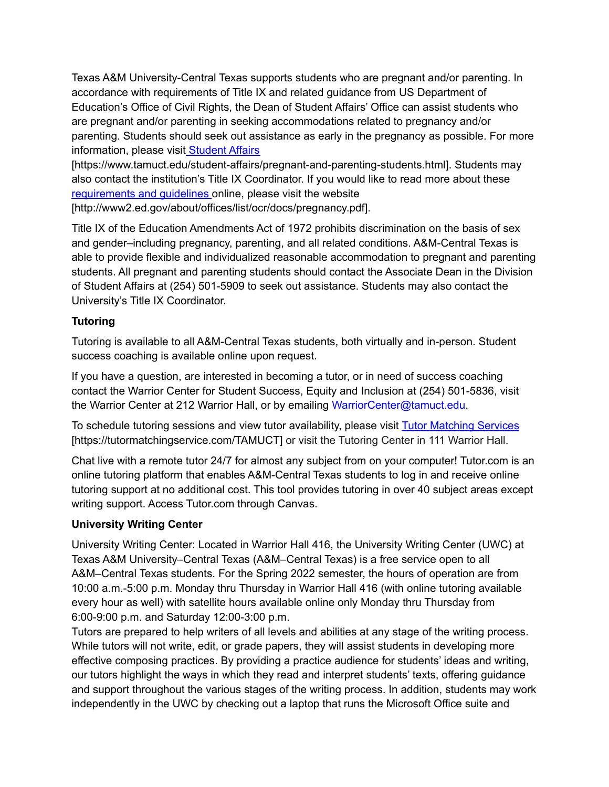Texas A&M University-Central Texas supports students who are pregnant and/or parenting. In accordance with requirements of Title IX and related guidance from US Department of Education's Office of Civil Rights, the Dean of Student Affairs' Office can assist students who are pregnant and/or parenting in seeking accommodations related to pregnancy and/or parenting. Students should seek out assistance as early in the pregnancy as possible. For more information, please visit [Student](https://www.tamuct.edu/student-affairs/pregnant-and-parenting-students.html) Affairs

[https://www.tamuct.edu/student-affairs/pregnant-and-parenting-students.html]. Students may also contact the institution's Title IX Coordinator. If you would like to read more about these [requirements](http://www2.ed.gov/about/offices/list/ocr/docs/pregnancy.pdf) and guidelines online, please visit the website [http://www2.ed.gov/about/offices/list/ocr/docs/pregnancy.pdf].

Title IX of the Education Amendments Act of 1972 prohibits discrimination on the basis of sex

and gender–including pregnancy, parenting, and all related conditions. A&M-Central Texas is able to provide flexible and individualized reasonable accommodation to pregnant and parenting students. All pregnant and parenting students should contact the Associate Dean in the Division of Student Affairs at (254) 501-5909 to seek out assistance. Students may also contact the University's Title IX Coordinator.

# **Tutoring**

Tutoring is available to all A&M-Central Texas students, both virtually and in-person. Student success coaching is available online upon request.

If you have a question, are interested in becoming a tutor, or in need of success coaching contact the Warrior Center for Student Success, Equity and Inclusion at (254) 501-5836, visit the Warrior Center at 212 Warrior Hall, or by emailing WarriorCenter@tamuct.edu.

To schedule tutoring sessions and view tutor availability, please visit Tutor [Matching](https://nam04.safelinks.protection.outlook.com/?url=http%3A%2F%2Fwww.tutormatchingservices.com%2FTAMUCT&data=04%7C01%7Clisa.bunkowski%40tamuct.edu%7C886784139069461670c308d9aa01f55e%7C9eed4e3000f744849ff193ad8005acec%7C0%7C0%7C637727747643427346%7CUnknown%7CTWFpbGZsb3d8eyJWIjoiMC4wLjAwMDAiLCJQIjoiV2luMzIiLCJBTiI6Ik1haWwiLCJXVCI6Mn0%3D%7C3000&sdata=D%2F8HN2bUT1lLPfs5qSqKYlwh8a7pZVy7isM2gppluQE%3D&reserved=0) Services [https://tutormatchingservice.com/TAMUCT] or visit the Tutoring Center in 111 Warrior Hall.

Chat live with a remote tutor 24/7 for almost any subject from on your computer! Tutor.com is an online tutoring platform that enables A&M-Central Texas students to log in and receive online tutoring support at no additional cost. This tool provides tutoring in over 40 subject areas except writing support. Access Tutor.com through Canvas.

## **University Writing Center**

University Writing Center: Located in Warrior Hall 416, the University Writing Center (UWC) at Texas A&M University–Central Texas (A&M–Central Texas) is a free service open to all A&M–Central Texas students. For the Spring 2022 semester, the hours of operation are from 10:00 a.m.-5:00 p.m. Monday thru Thursday in Warrior Hall 416 (with online tutoring available every hour as well) with satellite hours available online only Monday thru Thursday from 6:00-9:00 p.m. and Saturday 12:00-3:00 p.m.

Tutors are prepared to help writers of all levels and abilities at any stage of the writing process. While tutors will not write, edit, or grade papers, they will assist students in developing more effective composing practices. By providing a practice audience for students' ideas and writing, our tutors highlight the ways in which they read and interpret students' texts, offering guidance and support throughout the various stages of the writing process. In addition, students may work independently in the UWC by checking out a laptop that runs the Microsoft Office suite and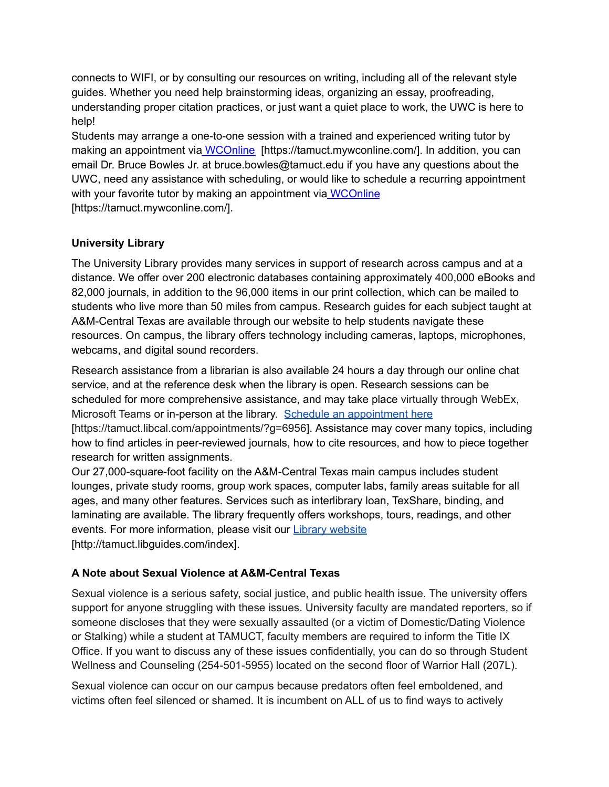connects to WIFI, or by consulting our resources on writing, including all of the relevant style guides. Whether you need help brainstorming ideas, organizing an essay, proofreading, understanding proper citation practices, or just want a quiet place to work, the UWC is here to help!

Students may arrange a one-to-one session with a trained and experienced writing tutor by making an appointment via [WCOnline](https://tamuct.mywconline.com/) [https://tamuct.mywconline.com/]. In addition, you can email Dr. Bruce Bowles Jr. at bruce.bowles@tamuct.edu if you have any questions about the UWC, need any assistance with scheduling, or would like to schedule a recurring appointment with your favorite tutor by making an appointment via [WCOnline](https://tamuct.mywconline.com/) [https://tamuct.mywconline.com/].

# **University Library**

The University Library provides many services in support of research across campus and at a distance. We offer over 200 electronic databases containing approximately 400,000 eBooks and 82,000 journals, in addition to the 96,000 items in our print collection, which can be mailed to students who live more than 50 miles from campus. Research guides for each subject taught at A&M-Central Texas are available through our website to help students navigate these resources. On campus, the library offers technology including cameras, laptops, microphones, webcams, and digital sound recorders.

Research assistance from a librarian is also available 24 hours a day through our online chat service, and at the reference desk when the library is open. Research sessions can be scheduled for more comprehensive assistance, and may take place virtually through WebEx, Microsoft Teams or in-person at the library. Schedule an [appointment](https://nam04.safelinks.protection.outlook.com/?url=https%3A%2F%2Ftamuct.libcal.com%2Fappointments%2F%3Fg%3D6956&data=04%7C01%7Clisa.bunkowski%40tamuct.edu%7Cde2c07d9f5804f09518008d9ab7ba6ff%7C9eed4e3000f744849ff193ad8005acec%7C0%7C0%7C637729369835011558%7CUnknown%7CTWFpbGZsb3d8eyJWIjoiMC4wLjAwMDAiLCJQIjoiV2luMzIiLCJBTiI6Ik1haWwiLCJXVCI6Mn0%3D%7C3000&sdata=KhtjgRSAw9aq%2FoBsB6wyu8b7PSuGN5EGPypzr3Ty2No%3D&reserved=0) here [https://tamuct.libcal.com/appointments/?g=6956]. Assistance may cover many topics, including how to find articles in peer-reviewed journals, how to cite resources, and how to piece together research for written assignments.

Our 27,000-square-foot facility on the A&M-Central Texas main campus includes student lounges, private study rooms, group work spaces, computer labs, family areas suitable for all ages, and many other features. Services such as interlibrary loan, TexShare, binding, and laminating are available. The library frequently offers workshops, tours, readings, and other events. For more information, please visit our **Library [website](https://nam04.safelinks.protection.outlook.com/?url=https%3A%2F%2Ftamuct.libguides.com%2Findex&data=04%7C01%7Clisa.bunkowski%40tamuct.edu%7C7d8489e8839a4915335f08d916f067f2%7C9eed4e3000f744849ff193ad8005acec%7C0%7C0%7C637566044056484222%7CUnknown%7CTWFpbGZsb3d8eyJWIjoiMC4wLjAwMDAiLCJQIjoiV2luMzIiLCJBTiI6Ik1haWwiLCJXVCI6Mn0%3D%7C1000&sdata=2R755V6rcIyedGrd4Os5rkgn1PvhHKU3kUV1vBKiHFo%3D&reserved=0)** [http://tamuct.libguides.com/index].

# **A Note about Sexual Violence at A&M-Central Texas**

Sexual violence is a serious safety, social justice, and public health issue. The university offers support for anyone struggling with these issues. University faculty are mandated reporters, so if someone discloses that they were sexually assaulted (or a victim of Domestic/Dating Violence or Stalking) while a student at TAMUCT, faculty members are required to inform the Title IX Office. If you want to discuss any of these issues confidentially, you can do so through Student Wellness and Counseling (254-501-5955) located on the second floor of Warrior Hall (207L).

Sexual violence can occur on our campus because predators often feel emboldened, and victims often feel silenced or shamed. It is incumbent on ALL of us to find ways to actively